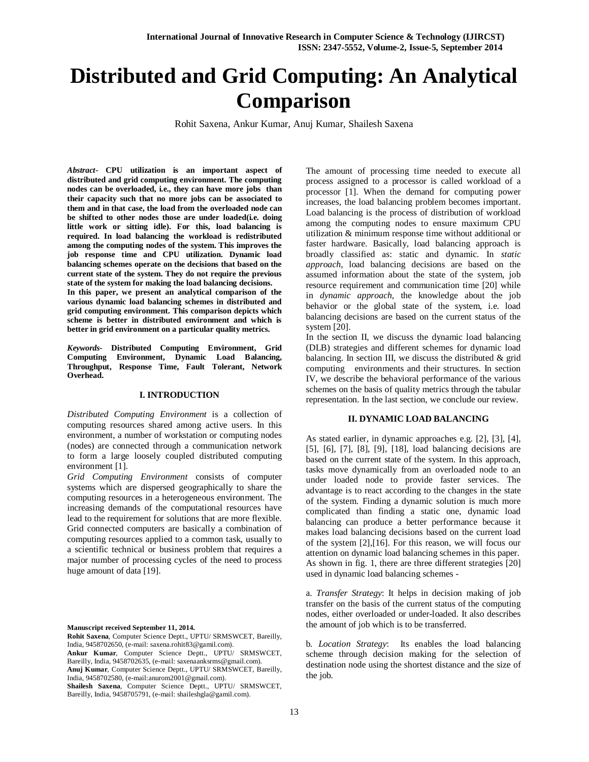# **Distributed and Grid Computing: An Analytical Comparison**

Rohit Saxena, Ankur Kumar, Anuj Kumar, Shailesh Saxena

*Abstract***- CPU utilization is an important aspect of distributed and grid computing environment. The computing nodes can be overloaded, i.e., they can have more jobs than their capacity such that no more jobs can be associated to them and in that case, the load from the overloaded node can be shifted to other nodes those are under loaded(i.e. doing little work or sitting idle). For this, load balancing is required. In load balancing the workload is redistributed among the computing nodes of the system. This improves the job response time and CPU utilization. Dynamic load balancing schemes operate on the decisions that based on the current state of the system. They do not require the previous state of the system for making the load balancing decisions.**

**In this paper, we present an analytical comparison of the various dynamic load balancing schemes in distributed and grid computing environment. This comparison depicts which scheme is better in distributed environment and which is better in grid environment on a particular quality metrics.**

*Keywords-* **Distributed Computing Environment, Grid Computing Environment, Dynamic Load Balancing, Throughput, Response Time, Fault Tolerant, Network Overhead.**

#### **I. INTRODUCTION**

*Distributed Computing Environment* is a collection of computing resources shared among active users. In this environment, a number of workstation or computing nodes (nodes) are connected through a communication network to form a large loosely coupled distributed computing environment [1].

*Grid Computing Environment* consists of computer systems which are dispersed geographically to share the computing resources in a heterogeneous environment. The increasing demands of the computational resources have lead to the requirement for solutions that are more flexible. Grid connected computers are basically a combination of computing resources applied to a common task, usually to a scientific technical or business problem that requires a major number of processing cycles of the need to process huge amount of data [19].

**Manuscript received September 11, 2014.**

**Rohit Saxena**, Computer Science Deptt., UPTU/ SRMSWCET, Bareilly, India, 9458702650, (e-mail: saxena.rohit83@gamil.com). **Ankur Kumar**, Computer Science Deptt., UPTU/ SRMSWCET, Bareilly, India, 9458702635, (e-mail: saxenaanksrms@gmail.com). **Anuj Kumar**, Computer Science Deptt., UPTU/ SRMSWCET, Bareilly, India, 9458702580, (e-mail:anurom2001@gmail.com). **Shailesh Saxena**, Computer Science Deptt., UPTU/ SRMSWCET,

Bareilly, India, 9458705791, (e-mail: shaileshgla@gamil.com).

The amount of processing time needed to execute all process assigned to a processor is called workload of a processor [1]. When the demand for computing power increases, the load balancing problem becomes important. Load balancing is the process of distribution of workload among the computing nodes to ensure maximum CPU utilization & minimum response time without additional or faster hardware. Basically, load balancing approach is broadly classified as: static and dynamic. In *static approach*, load balancing decisions are based on the assumed information about the state of the system, job resource requirement and communication time [20] while in *dynamic approach,* the knowledge about the job behavior or the global state of the system, i.e. load balancing decisions are based on the current status of the system [20].

In the section II, we discuss the dynamic load balancing (DLB) strategies and different schemes for dynamic load balancing. In section III, we discuss the distributed & grid computing environments and their structures. In section IV, we describe the behavioral performance of the various schemes on the basis of quality metrics through the tabular representation. In the last section, we conclude our review.

### **II. DYNAMIC LOAD BALANCING**

As stated earlier, in dynamic approaches e.g. [2], [3], [4], [5], [6], [7], [8], [9], [18], load balancing decisions are based on the current state of the system. In this approach, tasks move dynamically from an overloaded node to an under loaded node to provide faster services. The advantage is to react according to the changes in the state of the system. Finding a dynamic solution is much more complicated than finding a static one, dynamic load balancing can produce a better performance because it makes load balancing decisions based on the current load of the system [2],[16]. For this reason, we will focus our attention on dynamic load balancing schemes in this paper. As shown in fig. 1, there are three different strategies [20] used in dynamic load balancing schemes -

a. *Transfer Strategy*: It helps in decision making of job transfer on the basis of the current status of the computing nodes, either overloaded or under-loaded. It also describes the amount of job which is to be transferred.

b*. Location Strategy*: Its enables the load balancing scheme through decision making for the selection of destination node using the shortest distance and the size of the job.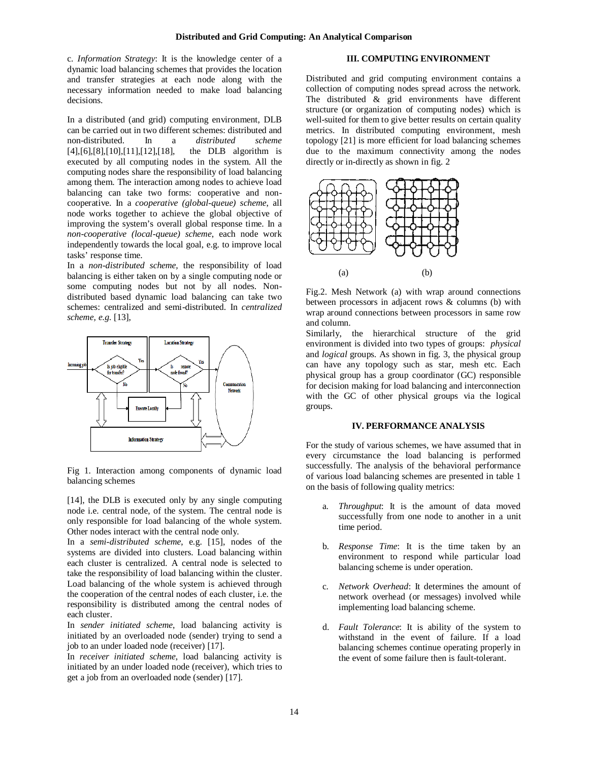c. *Information Strategy*: It is the knowledge center of a dynamic load balancing schemes that provides the location and transfer strategies at each node along with the necessary information needed to make load balancing decisions.

In a distributed (and grid) computing environment, DLB can be carried out in two different schemes: distributed and non-distributed. In a *distributed scheme*  $[4]$ , $[6]$ , $[8]$ , $[10]$ , $[11]$ , $[12]$ , $[18]$ , executed by all computing nodes in the system. All the computing nodes share the responsibility of load balancing among them. The interaction among nodes to achieve load balancing can take two forms: cooperative and noncooperative. In a *cooperative (global-queue) scheme*, all node works together to achieve the global objective of improving the system's overall global response time. In a *non-cooperative (local-queue) scheme*, each node work independently towards the local goal, e.g. to improve local tasks' response time.

In a *non-distributed scheme,* the responsibility of load balancing is either taken on by a single computing node or some computing nodes but not by all nodes. Nondistributed based dynamic load balancing can take two schemes: centralized and semi-distributed. In *centralized scheme, e.g.* [13],



Fig 1. Interaction among components of dynamic load balancing schemes

[14], the DLB is executed only by any single computing node i.e. central node, of the system. The central node is only responsible for load balancing of the whole system. Other nodes interact with the central node only.

In a *semi-distributed scheme*, e.g. [15], nodes of the systems are divided into clusters. Load balancing within each cluster is centralized. A central node is selected to take the responsibility of load balancing within the cluster. Load balancing of the whole system is achieved through the cooperation of the central nodes of each cluster, i.e. the responsibility is distributed among the central nodes of each cluster.

In *sender initiated scheme*, load balancing activity is initiated by an overloaded node (sender) trying to send a job to an under loaded node (receiver) [17].

In *receiver initiated scheme*, load balancing activity is initiated by an under loaded node (receiver), which tries to get a job from an overloaded node (sender) [17].

# **III. COMPUTING ENVIRONMENT**

Distributed and grid computing environment contains a collection of computing nodes spread across the network. The distributed  $\&$  grid environments have different structure (or organization of computing nodes) which is well-suited for them to give better results on certain quality metrics. In distributed computing environment, mesh topology [21] is more efficient for load balancing schemes due to the maximum connectivity among the nodes directly or in-directly as shown in fig. 2



Fig.2. Mesh Network (a) with wrap around connections between processors in adjacent rows & columns (b) with wrap around connections between processors in same row and column.

Similarly, the hierarchical structure of the grid environment is divided into two types of groups: *physical* and *logical* groups. As shown in fig. 3, the physical group can have any topology such as star, mesh etc. Each physical group has a group coordinator (GC) responsible for decision making for load balancing and interconnection with the GC of other physical groups via the logical groups.

## **IV. PERFORMANCE ANALYSIS**

For the study of various schemes, we have assumed that in every circumstance the load balancing is performed successfully. The analysis of the behavioral performance of various load balancing schemes are presented in table 1 on the basis of following quality metrics:

- a. *Throughput*: It is the amount of data moved successfully from one node to another in a unit time period.
- b. *Response Time*: It is the time taken by an environment to respond while particular load balancing scheme is under operation.
- c. *Network Overhead*: It determines the amount of network overhead (or messages) involved while implementing load balancing scheme.
- d. *Fault Tolerance*: It is ability of the system to withstand in the event of failure. If a load balancing schemes continue operating properly in the event of some failure then is fault-tolerant.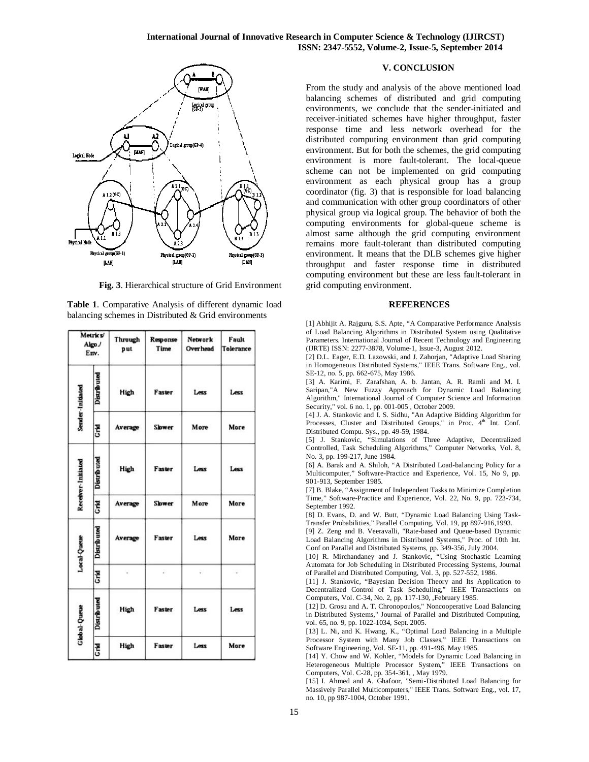

**Fig. 3**. Hierarchical structure of Grid Environment

| Table 1. Comparative Analysis of different dynamic load |
|---------------------------------------------------------|
| balancing schemes in Distributed $&$ Grid environments  |

| Metrics/<br>Algo./<br>Env. |                    | Through<br>put | Response<br>Time | Network<br><b>Overhead</b> | Fault<br>Tolerance |
|----------------------------|--------------------|----------------|------------------|----------------------------|--------------------|
| Sender-Initiated           | Distributed        | High           | Faster           | Less                       | Less               |
|                            | Ğ                  | Average        | Slower           | More                       | More               |
| Receiver-Initiated         | Distributed        | High           | Faster           | Less                       | Less               |
|                            | Crid               | Average        | <b>Slower</b>    | More                       | More               |
| Local-Queue                | <b>Distributed</b> | Average        | Faster           | Less                       | More               |
|                            | Crid               |                | Ø.               | b.                         | $\sim$             |
| <b>Global-Queue</b>        | Distributed        | High           | Faster           | Less                       | Less               |
|                            | <b>Grid</b>        | High           | Faster           | Less                       | More               |

## **V. CONCLUSION**

From the study and analysis of the above mentioned load balancing schemes of distributed and grid computing environments, we conclude that the sender-initiated and receiver-initiated schemes have higher throughput, faster response time and less network overhead for the distributed computing environment than grid computing environment. But for both the schemes, the grid computing environment is more fault-tolerant. The local-queue scheme can not be implemented on grid computing environment as each physical group has a group coordinator (fig. 3) that is responsible for load balancing and communication with other group coordinators of other physical group via logical group. The behavior of both the computing environments for global-queue scheme is almost same although the grid computing environment remains more fault-tolerant than distributed computing environment. It means that the DLB schemes give higher throughput and faster response time in distributed computing environment but these are less fault-tolerant in grid computing environment.

#### **REFERENCES**

[1] Abhijit A. Rajguru, S.S. Apte, "A Comparative Performance Analysis of Load Balancing Algorithms in Distributed System using Qualitative Parameters. International Journal of Recent Technology and Engineering (IJRTE) ISSN: 2277-3878, Volume-1, Issue-3, August 2012.

[2] D.L. Eager, E.D. Lazowski, and J. Zahorjan, "Adaptive Load Sharing in Homogeneous Distributed Systems," IEEE Trans. Software Eng., vol. SE-12, no. 5, pp. 662-675, May 1986.

[3] A. Karimi, F. Zarafshan, A. b. Jantan, A. R. Ramli and M. I. Saripan,"A New Fuzzy Approach for Dynamic Load Balancing Algorithm," International Journal of Computer Science and Information Security," vol. 6 no. 1, pp. 001-005 , October 2009.

[4] J. A. Stankovic and I. S. Sidhu, "An Adaptive Bidding Algorithm for Processes, Cluster and Distributed Groups," in Proc. 4<sup>th</sup> Int. Conf. Distributed Compu. Sys., pp. 49-59, 1984.

[5] J. Stankovic, "Simulations of Three Adaptive, Decentralized Controlled, Task Scheduling Algorithms," Computer Networks, Vol. 8, No. 3, pp. 199-217, June 1984.

[6] A. Barak and A. Shiloh, "A Distributed Load-balancing Policy for a Multicomputer," Software-Practice and Experience, Vol. 15, No 9, pp. 901-913, September 1985.

[7] B. Blake, "Assignment of Independent Tasks to Minimize Completion Time," Software-Practice and Experience, Vol. 22, No. 9, pp. 723-734, September 1992.

[8] D. Evans, D. and W. Butt, "Dynamic Load Balancing Using Task-Transfer Probabilities," Parallel Computing, Vol. 19, pp 897-916,1993.

[9] Z. Zeng and B. Veeravalli, "Rate-based and Queue-based Dynamic Load Balancing Algorithms in Distributed Systems," Proc. of 10th Int. Conf on Parallel and Distributed Systems, pp. 349-356, July 2004.

[10] R. Mirchandaney and J. Stankovic, "Using Stochastic Learning Automata for Job Scheduling in Distributed Processing Systems, Journal of Parallel and Distributed Computing, Vol. 3, pp. 527-552, 1986.

[11] J. Stankovic, "Bayesian Decision Theory and Its Application to Decentralized Control of Task Scheduling," IEEE Transactions on Computers, Vol. C-34, No. 2, pp. 117-130, ,February 1985.

[12] D. Grosu and A. T. Chronopoulos," Noncooperative Load Balancing in Distributed Systems," Journal of Parallel and Distributed Computing, vol. 65, no. 9, pp. 1022-1034, Sept. 2005.

[13] L. Ni, and K. Hwang, K., "Optimal Load Balancing in a Multiple Processor System with Many Job Classes," IEEE Transactions on Software Engineering, Vol. SE-11, pp. 491-496, May 1985.

[14] Y. Chow and W. Kohler, "Models for Dynamic Load Balancing in Heterogeneous Multiple Processor System," IEEE Transactions on Computers, Vol. C-28, pp. 354-361, , May 1979.

[15] I. Ahmed and A. Ghafoor, "Semi-Distributed Load Balancing for Massively Parallel Multicomputers," IEEE Trans. Software Eng., vol. 17, no. 10, pp 987-1004, October 1991.